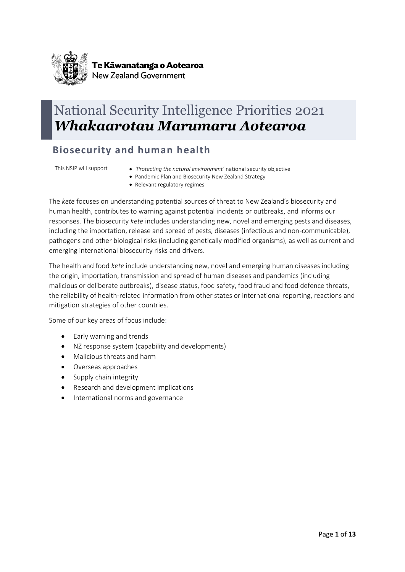

# National Security Intelligence Priorities 2021 *Whakaarotau Marumaru Aotearoa*

### **Biosecurity and human health**

- This NSIP will support *'Protecting the natural environment'* national security objective
	- Pandemic Plan and Biosecurity New Zealand Strategy
	- Relevant regulatory regimes

The *kete* focuses on understanding potential sources of threat to New Zealand's biosecurity and human health, contributes to warning against potential incidents or outbreaks, and informs our responses. The biosecurity *kete* includes understanding new, novel and emerging pests and diseases, including the importation, release and spread of pests, diseases (infectious and non-communicable), pathogens and other biological risks (including genetically modified organisms), as well as current and emerging international biosecurity risks and drivers.

The health and food *kete* include understanding new, novel and emerging human diseases including the origin, importation, transmission and spread of human diseases and pandemics (including malicious or deliberate outbreaks), disease status, food safety, food fraud and food defence threats, the reliability of health-related information from other states or international reporting, reactions and mitigation strategies of other countries.

- Early warning and trends
- NZ response system (capability and developments)
- Malicious threats and harm
- Overseas approaches
- Supply chain integrity
- Research and development implications
- International norms and governance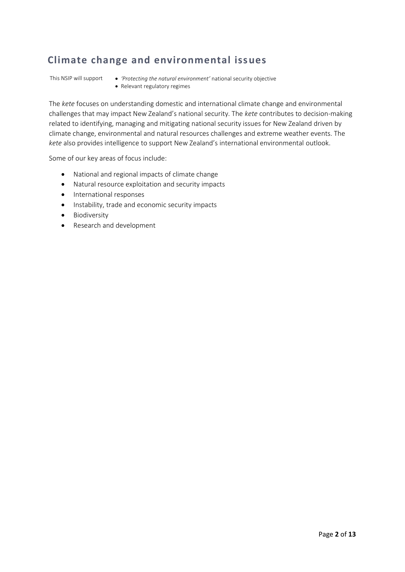#### **Climate change and environmental issues**

- This NSIP will support *'Protecting the natural environment'* national security objective
	- Relevant regulatory regimes

The *kete* focuses on understanding domestic and international climate change and environmental challenges that may impact New Zealand's national security. The *kete* contributes to decision-making related to identifying, managing and mitigating national security issues for New Zealand driven by climate change, environmental and natural resources challenges and extreme weather events. The *kete* also provides intelligence to support New Zealand's international environmental outlook.

- National and regional impacts of climate change
- Natural resource exploitation and security impacts
- International responses
- Instability, trade and economic security impacts
- Biodiversity
- Research and development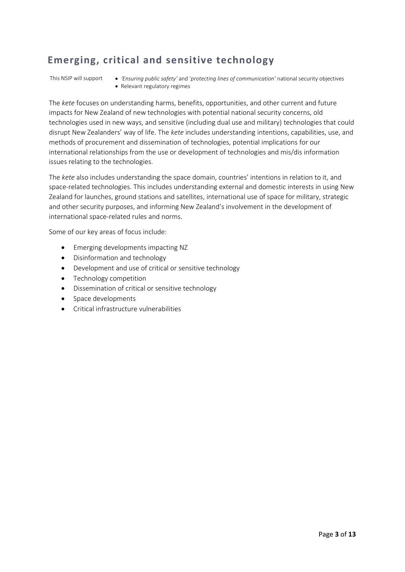#### **Emerging, critical and sensitive technology**

This NSIP will support • *'Ensuring public safety'* and '*protecting lines of communication'* national security objectives • Relevant regulatory regimes

The *kete* focuses on understanding harms, benefits, opportunities, and other current and future impacts for New Zealand of new technologies with potential national security concerns, old technologies used in new ways, and sensitive (including dual use and military) technologies that could disrupt New Zealanders' way of life. The *kete* includes understanding intentions, capabilities, use, and methods of procurement and dissemination of technologies, potential implications for our international relationships from the use or development of technologies and mis/dis information issues relating to the technologies.

The *kete* also includes understanding the space domain, countries' intentions in relation to it, and space-related technologies. This includes understanding external and domestic interests in using New Zealand for launches, ground stations and satellites, international use of space for military, strategic and other security purposes, and informing New Zealand's involvement in the development of international space-related rules and norms.

- Emerging developments impacting NZ
- Disinformation and technology
- Development and use of critical or sensitive technology
- Technology competition
- Dissemination of critical or sensitive technology
- Space developments
- Critical infrastructure vulnerabilities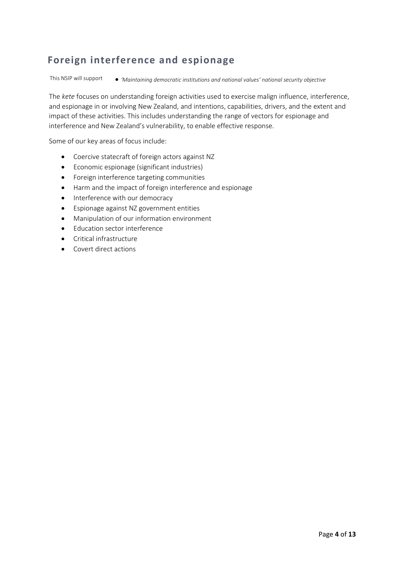#### **Foreign interference and espionage**

This NSIP will support • *'Maintaining democratic institutions and national values' national security objective*

The *kete* focuses on understanding foreign activities used to exercise malign influence, interference, and espionage in or involving New Zealand, and intentions, capabilities, drivers, and the extent and impact of these activities. This includes understanding the range of vectors for espionage and interference and New Zealand's vulnerability, to enable effective response.

- Coercive statecraft of foreign actors against NZ
- Economic espionage (significant industries)
- Foreign interference targeting communities
- Harm and the impact of foreign interference and espionage
- Interference with our democracy
- Espionage against NZ government entities
- Manipulation of our information environment
- Education sector interference
- Critical infrastructure
- Covert direct actions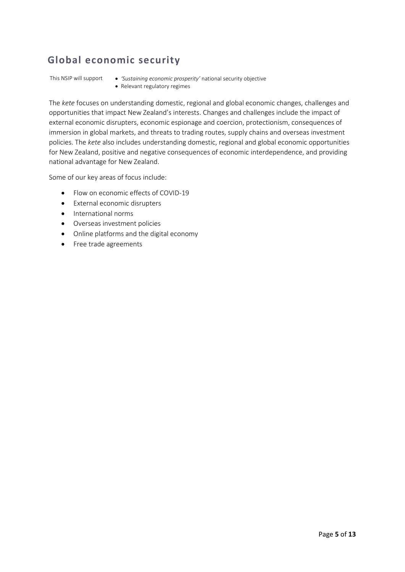### **Global economic security**

- This NSIP will support *'Sustaining economic prosperity'* national security objective
	- Relevant regulatory regimes

The *kete* focuses on understanding domestic, regional and global economic changes, challenges and opportunities that impact New Zealand's interests. Changes and challenges include the impact of external economic disrupters, economic espionage and coercion, protectionism, consequences of immersion in global markets, and threats to trading routes, supply chains and overseas investment policies. The *kete* also includes understanding domestic, regional and global economic opportunities for New Zealand, positive and negative consequences of economic interdependence, and providing national advantage for New Zealand.

- Flow on economic effects of COVID-19
- External economic disrupters
- International norms
- Overseas investment policies
- Online platforms and the digital economy
- Free trade agreements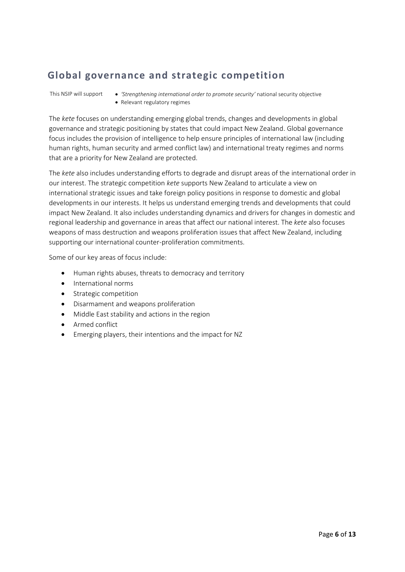#### **Global governance and strategic competition**

This NSIP will support • *'Strengthening international order to promote security'* national security objective • Relevant regulatory regimes

The *kete* focuses on understanding emerging global trends, changes and developments in global governance and strategic positioning by states that could impact New Zealand. Global governance focus includes the provision of intelligence to help ensure principles of international law (including human rights, human security and armed conflict law) and international treaty regimes and norms that are a priority for New Zealand are protected.

The *kete* also includes understanding efforts to degrade and disrupt areas of the international order in our interest. The strategic competition *kete* supports New Zealand to articulate a view on international strategic issues and take foreign policy positions in response to domestic and global developments in our interests. It helps us understand emerging trends and developments that could impact New Zealand. It also includes understanding dynamics and drivers for changes in domestic and regional leadership and governance in areas that affect our national interest. The *kete* also focuses weapons of mass destruction and weapons proliferation issues that affect New Zealand, including supporting our international counter-proliferation commitments.

- Human rights abuses, threats to democracy and territory
- International norms
- Strategic competition
- Disarmament and weapons proliferation
- Middle East stability and actions in the region
- Armed conflict
- Emerging players, their intentions and the impact for NZ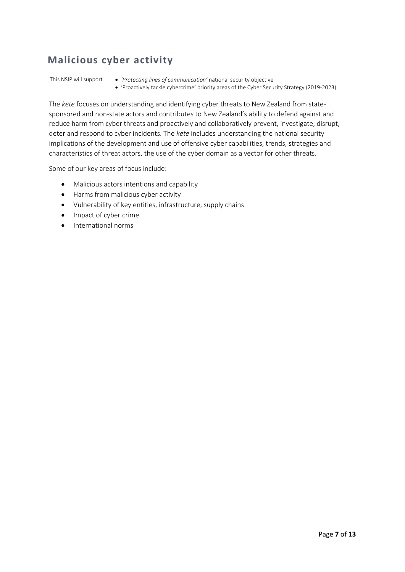### **Malicious cyber activity**

This NSIP will support • *'Protecting lines of communication'* national security objective

• 'Proactively tackle cybercrime' priority areas of the Cyber Security Strategy (2019-2023)

The *kete* focuses on understanding and identifying cyber threats to New Zealand from statesponsored and non-state actors and contributes to New Zealand's ability to defend against and reduce harm from cyber threats and proactively and collaboratively prevent, investigate, disrupt, deter and respond to cyber incidents. The *kete* includes understanding the national security implications of the development and use of offensive cyber capabilities, trends, strategies and characteristics of threat actors, the use of the cyber domain as a vector for other threats.

- Malicious actors intentions and capability
- Harms from malicious cyber activity
- Vulnerability of key entities, infrastructure, supply chains
- Impact of cyber crime
- International norms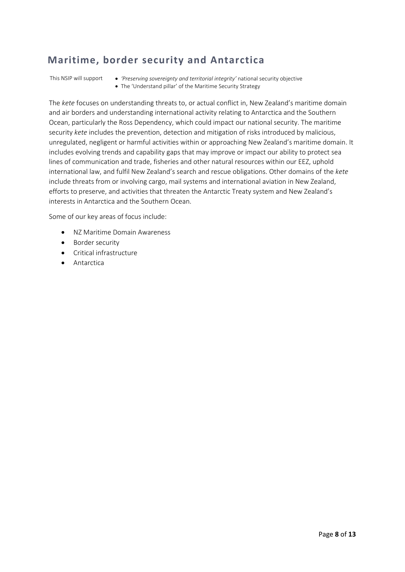#### **Maritime, border security and Antarctica**

This NSIP will support • *'Preserving sovereignty and territorial integrity'* national security objective • The 'Understand pillar' of the Maritime Security Strategy

The *kete* focuses on understanding threats to, or actual conflict in, New Zealand's maritime domain and air borders and understanding international activity relating to Antarctica and the Southern Ocean, particularly the Ross Dependency, which could impact our national security. The maritime security *kete* includes the prevention, detection and mitigation of risks introduced by malicious, unregulated, negligent or harmful activities within or approaching New Zealand's maritime domain. It includes evolving trends and capability gaps that may improve or impact our ability to protect sea lines of communication and trade, fisheries and other natural resources within our EEZ, uphold international law, and fulfil New Zealand's search and rescue obligations. Other domains of the *kete* include threats from or involving cargo, mail systems and international aviation in New Zealand, efforts to preserve, and activities that threaten the Antarctic Treaty system and New Zealand's interests in Antarctica and the Southern Ocean.

- NZ Maritime Domain Awareness
- Border security
- Critical infrastructure
- Antarctica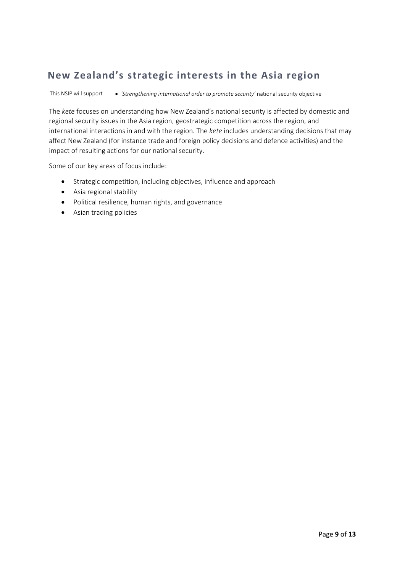## **New Zealand's strategic interests in the Asia region**

This NSIP will support • *'Strengthening international order to promote security'* national security objective

The *kete* focuses on understanding how New Zealand's national security is affected by domestic and regional security issues in the Asia region, geostrategic competition across the region, and international interactions in and with the region. The *kete* includes understanding decisions that may affect New Zealand (for instance trade and foreign policy decisions and defence activities) and the impact of resulting actions for our national security.

- Strategic competition, including objectives, influence and approach
- Asia regional stability
- Political resilience, human rights, and governance
- Asian trading policies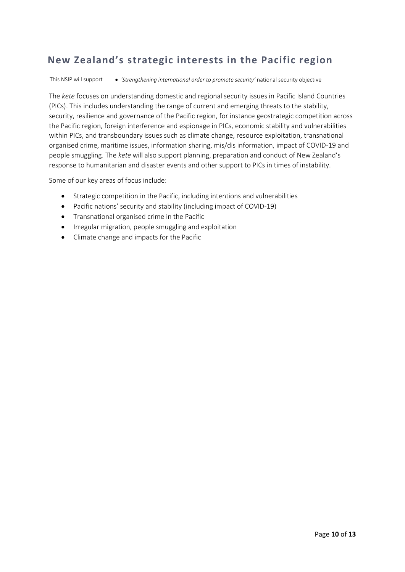#### **New Zealand's strategic interests in the Pacific region**

This NSIP will support • *'Strengthening international order to promote security'* national security objective

The *kete* focuses on understanding domestic and regional security issues in Pacific Island Countries (PICs). This includes understanding the range of current and emerging threats to the stability, security, resilience and governance of the Pacific region, for instance geostrategic competition across the Pacific region, foreign interference and espionage in PICs, economic stability and vulnerabilities within PICs, and transboundary issues such as climate change, resource exploitation, transnational organised crime, maritime issues, information sharing, mis/dis information, impact of COVID-19 and people smuggling. The *kete* will also support planning, preparation and conduct of New Zealand's response to humanitarian and disaster events and other support to PICs in times of instability.

- Strategic competition in the Pacific, including intentions and vulnerabilities
- Pacific nations' security and stability (including impact of COVID-19)
- Transnational organised crime in the Pacific
- Irregular migration, people smuggling and exploitation
- Climate change and impacts for the Pacific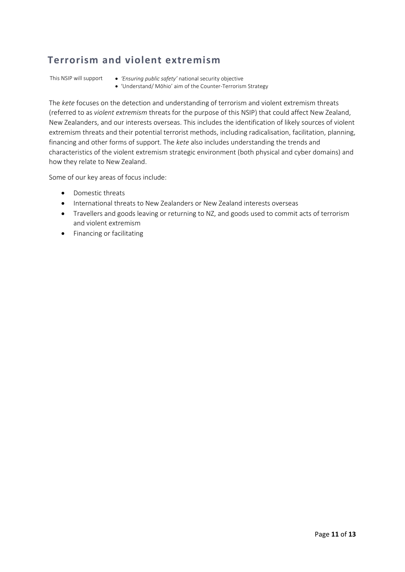#### **Terrorism and violent extremism**

- This NSIP will support *'Ensuring public safety'* national security objective
	- 'Understand/ Mōhio' aim of the Counter-Terrorism Strategy

The *kete* focuses on the detection and understanding of terrorism and violent extremism threats (referred to as *violent extremism* threats for the purpose of this NSIP) that could affect New Zealand, New Zealanders, and our interests overseas. This includes the identification of likely sources of violent extremism threats and their potential terrorist methods, including radicalisation, facilitation, planning, financing and other forms of support. The *kete* also includes understanding the trends and characteristics of the violent extremism strategic environment (both physical and cyber domains) and how they relate to New Zealand.

- Domestic threats
- International threats to New Zealanders or New Zealand interests overseas
- Travellers and goods leaving or returning to NZ, and goods used to commit acts of terrorism and violent extremism
- Financing or facilitating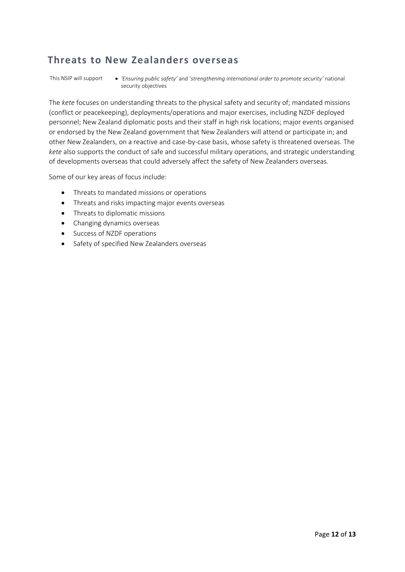#### **Threats to New Zealanders overseas**

This NSIP will support • *'Ensuring public safety'* and '*strengthening international order to promote security'* national security objectives

The *kete* focuses on understanding threats to the physical safety and security of; mandated missions (conflict or peacekeeping), deployments/operations and major exercises, including NZDF deployed personnel; New Zealand diplomatic posts and their staff in high risk locations; major events organised or endorsed by the New Zealand government that New Zealanders will attend or participate in; and other New Zealanders, on a reactive and case-by-case basis, whose safety is threatened overseas. The *kete* also supports the conduct of safe and successful military operations, and strategic understanding of developments overseas that could adversely affect the safety of New Zealanders overseas.

- Threats to mandated missions or operations
- Threats and risks impacting major events overseas
- Threats to diplomatic missions
- Changing dynamics overseas
- Success of NZDF operations
- Safety of specified New Zealanders overseas